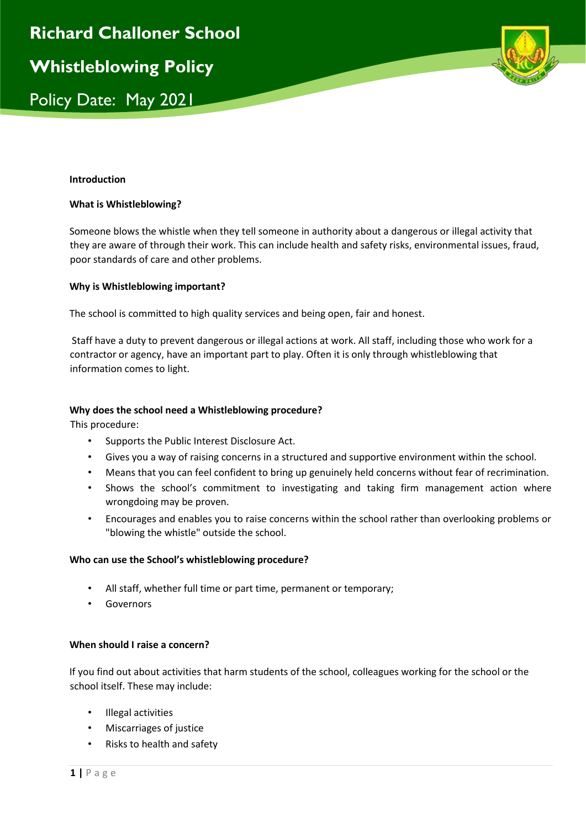

#### **Introduction**

#### **What is Whistleblowing?**

Someone blows the whistle when they tell someone in authority about a dangerous or illegal activity that they are aware of through their work. This can include health and safety risks, environmental issues, fraud, poor standards of care and other problems.

#### **Why is Whistleblowing important?**

The school is committed to high quality services and being open, fair and honest.

Staff have a duty to prevent dangerous or illegal actions at work. All staff, including those who work for a contractor or agency, have an important part to play. Often it is only through whistleblowing that information comes to light.

#### **Why does the school need a Whistleblowing procedure?**

This procedure:

- Supports the Public Interest Disclosure Act.
- Gives you a way of raising concerns in a structured and supportive environment within the school.
- Means that you can feel confident to bring up genuinely held concerns without fear of recrimination.
- Shows the school's commitment to investigating and taking firm management action where wrongdoing may be proven.
- Encourages and enables you to raise concerns within the school rather than overlooking problems or "blowing the whistle" outside the school.

# **Who can use the School's whistleblowing procedure?**

- All staff, whether full time or part time, permanent or temporary;
- Governors

# **When should I raise a concern?**

If you find out about activities that harm students of the school, colleagues working for the school or the school itself. These may include:

- Illegal activities
- Miscarriages of justice
- Risks to health and safety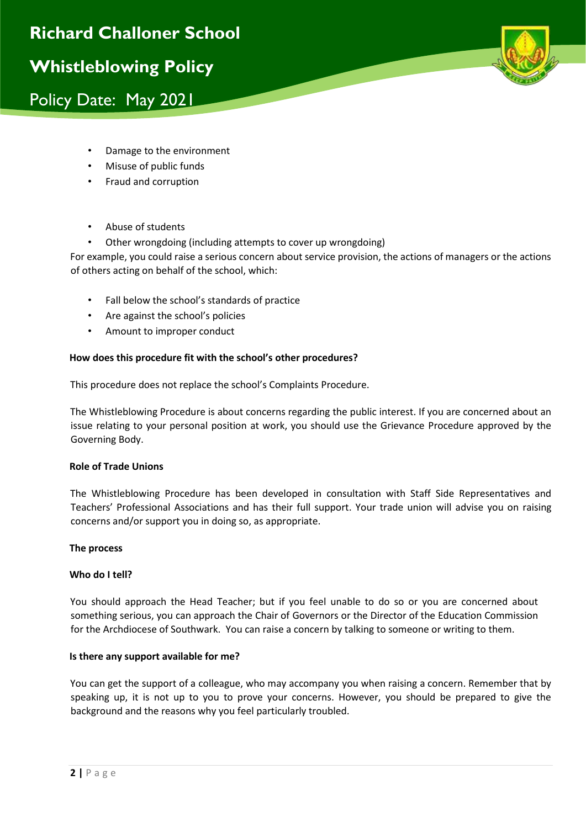

- Damage to the environment
- Misuse of public funds
- Fraud and corruption
- Abuse of students
- Other wrongdoing (including attempts to cover up wrongdoing)

For example, you could raise a serious concern about service provision, the actions of managers or the actions of others acting on behalf of the school, which:

- Fall below the school's standards of practice
- Are against the school's policies
- Amount to improper conduct

# **How does this procedure fit with the school's other procedures?**

This procedure does not replace the school's Complaints Procedure.

The Whistleblowing Procedure is about concerns regarding the public interest. If you are concerned about an issue relating to your personal position at work, you should use the Grievance Procedure approved by the Governing Body.

# **Role of Trade Unions**

The Whistleblowing Procedure has been developed in consultation with Staff Side Representatives and Teachers' Professional Associations and has their full support. Your trade union will advise you on raising concerns and/or support you in doing so, as appropriate.

# **The process**

# **Who do I tell?**

You should approach the Head Teacher; but if you feel unable to do so or you are concerned about something serious, you can approach the Chair of Governors or the Director of the Education Commission for the Archdiocese of Southwark. You can raise a concern by talking to someone or writing to them.

# **Is there any support available for me?**

You can get the support of a colleague, who may accompany you when raising a concern. Remember that by speaking up, it is not up to you to prove your concerns. However, you should be prepared to give the background and the reasons why you feel particularly troubled.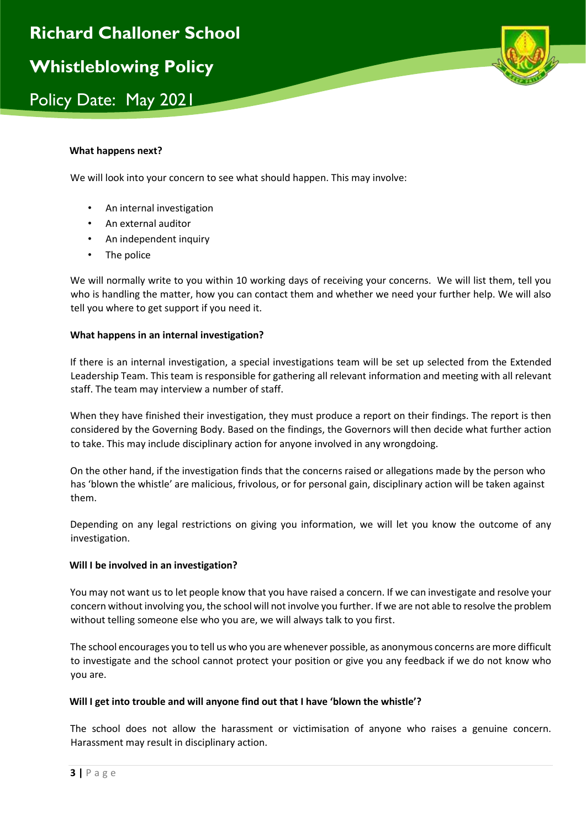

### **What happens next?**

We will look into your concern to see what should happen. This may involve:

- An internal investigation
- An external auditor
- An independent inquiry
- The police

We will normally write to you within 10 working days of receiving your concerns. We will list them, tell you who is handling the matter, how you can contact them and whether we need your further help. We will also tell you where to get support if you need it.

#### **What happens in an internal investigation?**

If there is an internal investigation, a special investigations team will be set up selected from the Extended Leadership Team. This team is responsible for gathering all relevant information and meeting with all relevant staff. The team may interview a number of staff.

When they have finished their investigation, they must produce a report on their findings. The report is then considered by the Governing Body. Based on the findings, the Governors will then decide what further action to take. This may include disciplinary action for anyone involved in any wrongdoing.

On the other hand, if the investigation finds that the concerns raised or allegations made by the person who has 'blown the whistle' are malicious, frivolous, or for personal gain, disciplinary action will be taken against them.

Depending on any legal restrictions on giving you information, we will let you know the outcome of any investigation.

# **Will I be involved in an investigation?**

You may not want us to let people know that you have raised a concern. If we can investigate and resolve your concern without involving you, the school will not involve you further. If we are not able to resolve the problem without telling someone else who you are, we will always talk to you first.

The school encourages you to tell us who you are whenever possible, as anonymous concerns are more difficult to investigate and the school cannot protect your position or give you any feedback if we do not know who you are.

# **Will I get into trouble and will anyone find out that I have 'blown the whistle'?**

The school does not allow the harassment or victimisation of anyone who raises a genuine concern. Harassment may result in disciplinary action.